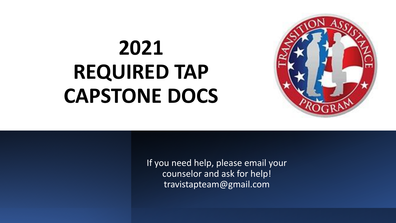# **2021 REQUIRED TAP CAPSTONE DOCS**



If you need help, please email your counselor and ask for help! travistapteam@gmail.com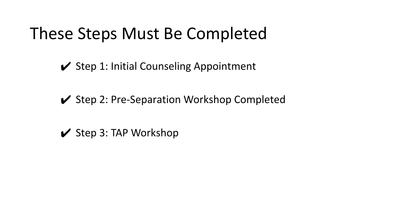## These Steps Must Be Completed

- $\checkmark$  Step 1: Initial Counseling Appointment
- **✔** Step 2: Pre-Separation Workshop Completed
- $\vee$  Step 3: TAP Workshop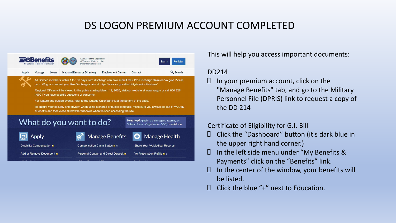### DS LOGON PREMIUM ACCOUNT COMPLETED



This will help you access important documents:

#### DD214

 In your premium account, click on the "Manage Benefits" tab, and go to the Military Personnel File (DPRIS) link to request a copy of the DD 214

#### Certificate of Eligibility for G.I. Bill

- $\Box$  Click the "Dashboard" button (it's dark blue in the upper right hand corner.)
- In the left side menu under "My Benefits & Payments" click on the "Benefits" link.
- $\Box$  In the center of the window, your benefits will be listed.
- $\Box$  Click the blue "+" next to Education.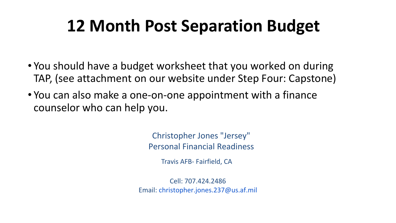## **12 Month Post Separation Budget**

- You should have a budget worksheet that you worked on during TAP, (see attachment on our website under Step Four: Capstone)
- You can also make a one-on-one appointment with a finance counselor who can help you.

Christopher Jones "Jersey" Personal Financial Readiness

Travis AFB- Fairfield, CA

Cell: 707.424.2486 Email: christopher.jones.237@us.af.mil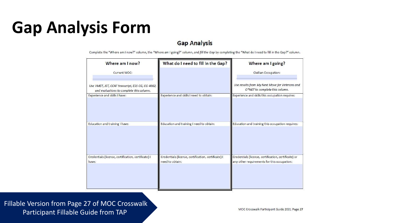## **Gap Analysis Form**

#### **Gap Analysis**

Complete the "Where am I now?" column, the "Where am I going?" column, and fill the Gap by completing the "What do I need to fill in the Gap?" column.

| Where am I now?                                                                              | What do I need to fill in the Gap?                                     | Where am I going?                                                                                   |
|----------------------------------------------------------------------------------------------|------------------------------------------------------------------------|-----------------------------------------------------------------------------------------------------|
| Current MOC:                                                                                 |                                                                        | <b>Civilian Occupation:</b>                                                                         |
| Use VMET, JST, CCAF transcript, ESS-CG, CG-4082,<br>and evaluations to complete this column. |                                                                        | Use results from My Next Move for Veterans and<br>O*NET to complete this column.                    |
| Experience and skills I have:                                                                | Experience and skills I need to obtain:                                | Experience and skills this occupation requires:                                                     |
| Education and training I have:                                                               | Education and training I need to obtain:                               | Education and training this occupation requires:                                                    |
| Credentials (license, certification, certificate) I<br>have:                                 | Credentials (license, certification, certificate) I<br>need to obtain: | Credentials (license, certification, certificate) or<br>any other requirements for this occupation: |
|                                                                                              |                                                                        |                                                                                                     |

Fillable Version from Page 27 of MOC Crosswalk Participant Fillable Guide from TAP

MOC Crosswalk Participant Guide 2021 Page 27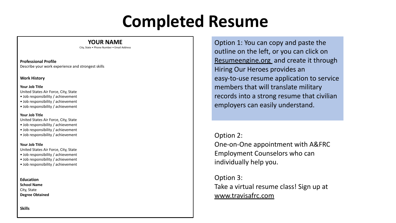## **Completed Resume**

#### **YOUR NAME**

City, State • Phone Number • Email Address

**Professional Profile**  Describe your work experience and strongest skills

#### **Work History**

#### **Your Job Title**

United States Air Force, City, State

- Job responsibility / achievement
- Job responsibility / achievement
- Job responsibility / achievement

#### **Your Job Title**

United States Air Force, City, State

- Job responsibility / achievement
- Job responsibility / achievement
- Job responsibility / achievement

#### **Your Job Title**

United States Air Force, City, State

- Job responsibility / achievement
- Job responsibility / achievement
- Job responsibility / achievement

**Education School Name**  City, State **Degree Obtained** Option 1: You can copy and paste the outline on the left, or you can click on Resumeengine.org and create it through Hiring Our Heroes provides an easy-to-use resume application to service members that will translate military records into a strong resume that civilian employers can easily understand.

#### Option 2:

One-on-One appointment with A&FRC Employment Counselors who can individually help you.

Option 3: Take a virtual resume class! Sign up at www.travisafrc.com

**Skills**